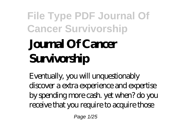# **Journal Of Cancer Survivorship**

Eventually, you will unquestionably discover a extra experience and expertise by spending more cash. yet when? do you receive that you require to acquire those

Page 1/25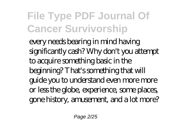every needs bearing in mind having significantly cash? Why don't you attempt to acquire something basic in the beginning? That's something that will guide you to understand even more more or less the globe, experience, some places, gone history, amusement, and a lot more?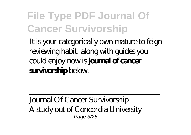It is your categorically own mature to feign reviewing habit. along with guides you could enjoy now is **journal of cancer survivorship** below.

Journal Of Cancer Survivorship A study out of Concordia University Page 3/25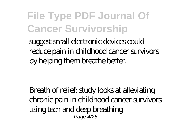suggest small electronic devices could reduce pain in childhood cancer survivors by helping them breathe better.

Breath of relief: study looks at alleviating chronic pain in childhood cancer survivors using tech and deep breathing Page 4/25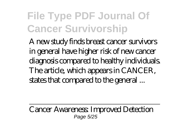A new study finds breast cancer survivors in general have higher risk of new cancer diagnosis compared to healthy individuals. The article, which appears in CANCER, states that compared to the general ...

Cancer Awareness: Improved Detection Page 5/25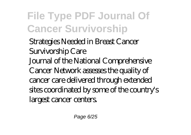Strategies Needed in Breast Cancer Survivorship Care Journal of the National Comprehensive Cancer Network assesses the quality of cancer care delivered through extended sites coordinated by some of the country's largest cancer centers.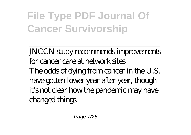JNCCN study recommends improvements for cancer care at network sites The odds of dying from cancer in the U.S. have gotten lower year after year, though it's not clear how the pandemic may have changed things.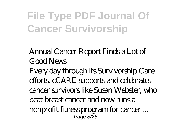Annual Cancer Report Finds a Lot of Good News Every day through its Survivorship Care efforts, cCARE supports and celebrates cancer survivors like Susan Webster, who beat breast cancer and now runs a nonprofit fitness program for cancer ... Page 8/25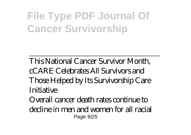This National Cancer Survivor Month, cCARE Celebrates All Survivors and Those Helped by Its Survivorship Care Initiative

Overall cancer death rates continue to decline in men and women for all racial Page  $9/25$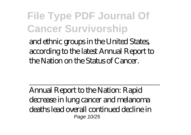and ethnic groups in the United States, according to the latest Annual Report to the Nation on the Status of Cancer.

Annual Report to the Nation: Rapid decrease in lung cancer and melanoma deaths lead overall continued decline in Page 10/25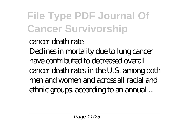cancer death rate Declines in mortality due to lung cancer have contributed to decreased overall cancer death rates in the U.S. among both men and women and across all racial and ethnic groups, according to an annual ...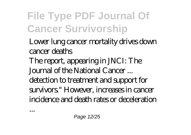- Lower lung cancer mortality drives down cancer deaths
- The report, appearing in JNCI: The Journal of the National Cancer ...
- detection to treatment and support for survivors." However, increases in cancer incidence and death rates or deceleration

...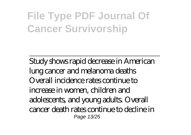Study shows rapid decrease in American lung cancer and melanoma deaths Overall incidence rates continue to increase in women, children and adolescents, and young adults. Overall cancer death rates continue to decline in Page 13/25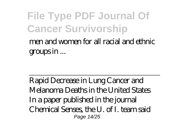#### **File Type PDF Journal Of Cancer Survivorship** men and women for all racial and ethnic groups in ...

Rapid Decrease in Lung Cancer and Melanoma Deaths in the United States In a paper published in the journal Chemical Senses, the U. of I. team said Page 14/25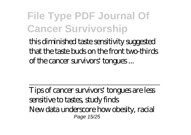this diminished taste sensitivity suggested that the taste buds on the front two-thirds of the cancer survivors' tongues ...

Tips of cancer survivors' tongues are less sensitive to tastes, study finds New data underscore how obesity, racial Page 15/25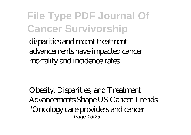disparities and recent treatment advancements have impacted cancer mortality and incidence rates.

Obesity, Disparities, and Treatment Advancements Shape US Cancer Trends "Oncology care providers and cancer Page 16/25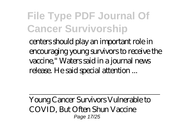centers should play an important role in encouraging young survivors to receive the vaccine," Waters said in a journal news release. He said special attention ...

Young Cancer Survivors Vulnerable to COVID, But Often Shun Vaccine Page 17/25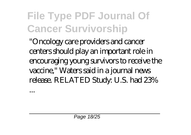"Oncology care providers and cancer centers should play an important role in encouraging young survivors to receive the vaccine," Waters said in a journal news release. RELATED Study: U.S. had 23%

...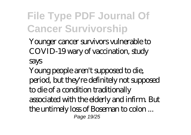Younger cancer survivors vulnerable to COVID-19 wary of vaccination, study says

Young people aren't supposed to die, period, but they're definitely not supposed to die of a condition traditionally associated with the elderly and infirm. But the untimely loss of Boseman to colon ... Page 19/25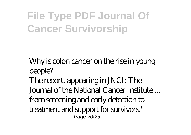Why is colon cancer on the rise in young people? The report, appearing in JNCI: The Journal of the National Cancer Institute ... from screening and early detection to treatment and support for survivors." Page 20/25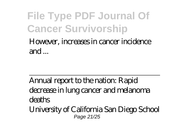However, increases in cancer incidence and ...

Annual report to the nation: Rapid decrease in lung cancer and melanoma deaths University of California San Diego School Page 21/25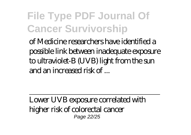of Medicine researchers have identified a possible link between inadequate exposure to ultraviolet-B (UVB) light from the sun and an increased risk of ...

Lower UVB exposure correlated with higher risk of colorectal cancer Page 22/25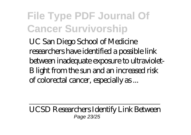UC San Diego School of Medicine researchers have identified a possible link between inadequate exposure to ultraviolet-B light from the sun and an increased risk of colorectal cancer, especially as ...

UCSD Researchers Identify Link Between Page 23/25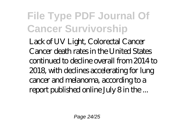Lack of UV Light, Colorectal Cancer Cancer death rates in the United States continued to decline overall from 2014 to 2018, with declines accelerating for lung cancer and melanoma, according to a report published online July 8 in the ...